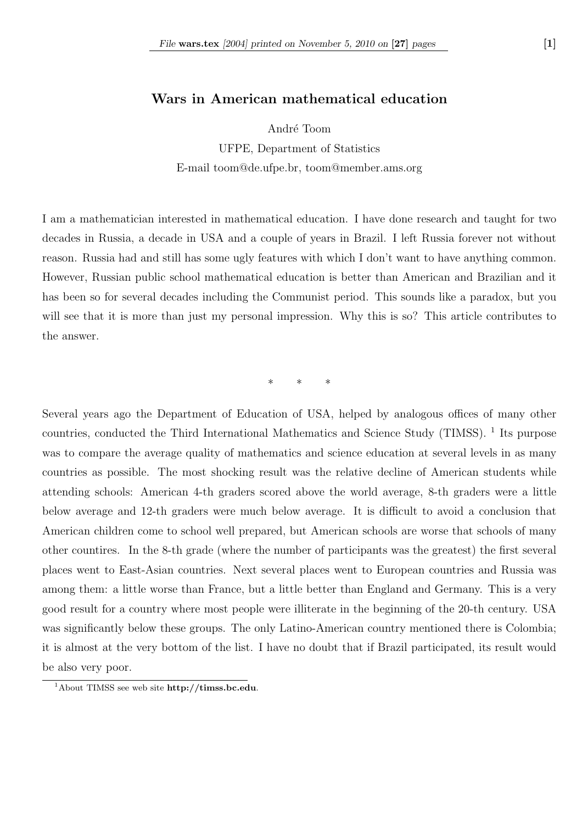## Wars in American mathematical education

André Toom

UFPE, Department of Statistics E-mail toom@de.ufpe.br, toom@member.ams.org

I am a mathematician interested in mathematical education. I have done research and taught for two decades in Russia, a decade in USA and a couple of years in Brazil. I left Russia forever not without reason. Russia had and still has some ugly features with which I don't want to have anything common. However, Russian public school mathematical education is better than American and Brazilian and it has been so for several decades including the Communist period. This sounds like a paradox, but you will see that it is more than just my personal impression. Why this is so? This article contributes to the answer.

\* \* \*

Several years ago the Department of Education of USA, helped by analogous offices of many other countries, conducted the Third International Mathematics and Science Study (TIMSS).<sup>1</sup> Its purpose was to compare the average quality of mathematics and science education at several levels in as many countries as possible. The most shocking result was the relative decline of American students while attending schools: American 4-th graders scored above the world average, 8-th graders were a little below average and 12-th graders were much below average. It is difficult to avoid a conclusion that American children come to school well prepared, but American schools are worse that schools of many other countires. In the 8-th grade (where the number of participants was the greatest) the first several places went to East-Asian countries. Next several places went to European countries and Russia was among them: a little worse than France, but a little better than England and Germany. This is a very good result for a country where most people were illiterate in the beginning of the 20-th century. USA was significantly below these groups. The only Latino-American country mentioned there is Colombia; it is almost at the very bottom of the list. I have no doubt that if Brazil participated, its result would be also very poor.

<sup>&</sup>lt;sup>1</sup>About TIMSS see web site http://timss.bc.edu.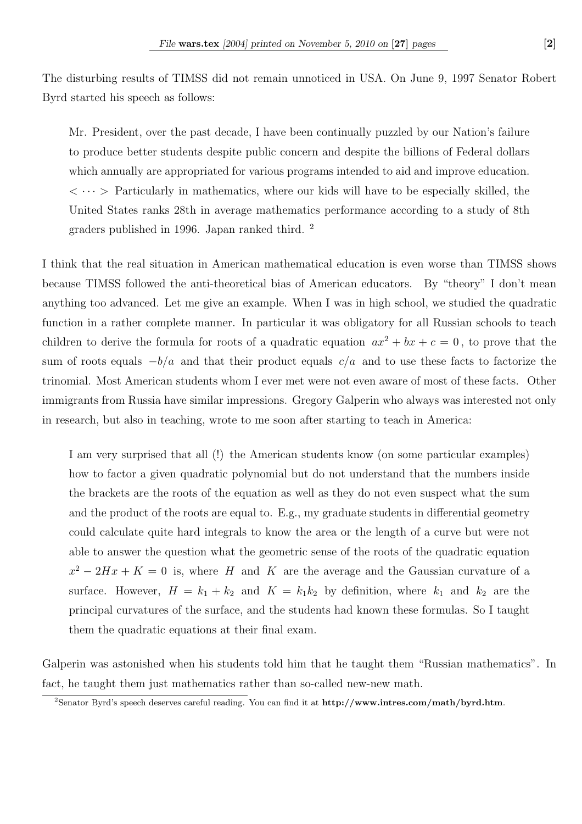The disturbing results of TIMSS did not remain unnoticed in USA. On June 9, 1997 Senator Robert Byrd started his speech as follows:

Mr. President, over the past decade, I have been continually puzzled by our Nation's failure to produce better students despite public concern and despite the billions of Federal dollars which annually are appropriated for various programs intended to aid and improve education.  $\langle \cdots \rangle$  Particularly in mathematics, where our kids will have to be especially skilled, the United States ranks 28th in average mathematics performance according to a study of 8th graders published in 1996. Japan ranked third. <sup>2</sup>

I think that the real situation in American mathematical education is even worse than TIMSS shows because TIMSS followed the anti-theoretical bias of American educators. By "theory" I don't mean anything too advanced. Let me give an example. When I was in high school, we studied the quadratic function in a rather complete manner. In particular it was obligatory for all Russian schools to teach children to derive the formula for roots of a quadratic equation  $ax^2 + bx + c = 0$ , to prove that the sum of roots equals  $-b/a$  and that their product equals  $c/a$  and to use these facts to factorize the trinomial. Most American students whom I ever met were not even aware of most of these facts. Other immigrants from Russia have similar impressions. Gregory Galperin who always was interested not only in research, but also in teaching, wrote to me soon after starting to teach in America:

I am very surprised that all (!) the American students know (on some particular examples) how to factor a given quadratic polynomial but do not understand that the numbers inside the brackets are the roots of the equation as well as they do not even suspect what the sum and the product of the roots are equal to. E.g., my graduate students in differential geometry could calculate quite hard integrals to know the area or the length of a curve but were not able to answer the question what the geometric sense of the roots of the quadratic equation  $x^2 - 2Hx + K = 0$  is, where H and K are the average and the Gaussian curvature of a surface. However,  $H = k_1 + k_2$  and  $K = k_1 k_2$  by definition, where  $k_1$  and  $k_2$  are the principal curvatures of the surface, and the students had known these formulas. So I taught them the quadratic equations at their final exam.

Galperin was astonished when his students told him that he taught them "Russian mathematics". In fact, he taught them just mathematics rather than so-called new-new math.

<sup>&</sup>lt;sup>2</sup>Senator Byrd's speech deserves careful reading. You can find it at http://www.intres.com/math/byrd.htm.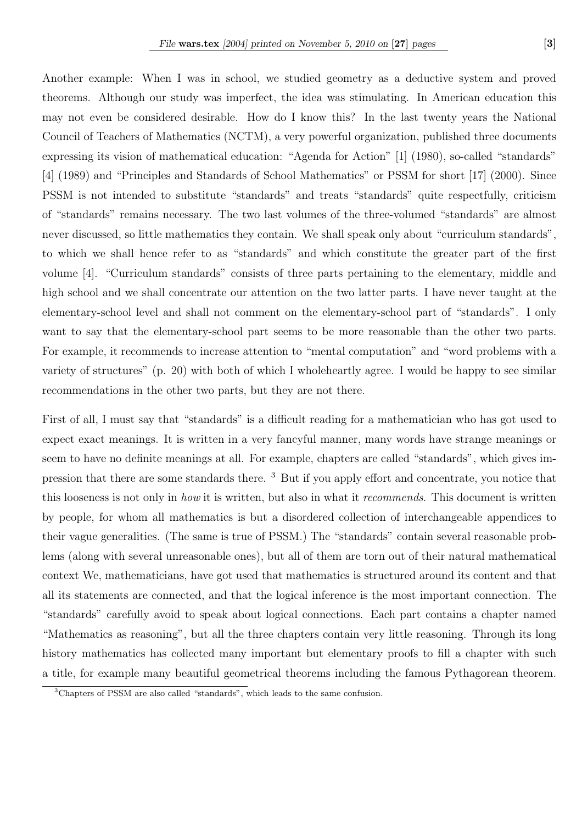Another example: When I was in school, we studied geometry as a deductive system and proved theorems. Although our study was imperfect, the idea was stimulating. In American education this may not even be considered desirable. How do I know this? In the last twenty years the National Council of Teachers of Mathematics (NCTM), a very powerful organization, published three documents expressing its vision of mathematical education: "Agenda for Action" [1] (1980), so-called "standards" [4] (1989) and "Principles and Standards of School Mathematics" or PSSM for short [17] (2000). Since PSSM is not intended to substitute "standards" and treats "standards" quite respectfully, criticism of "standards" remains necessary. The two last volumes of the three-volumed "standards" are almost never discussed, so little mathematics they contain. We shall speak only about "curriculum standards", to which we shall hence refer to as "standards" and which constitute the greater part of the first volume [4]. "Curriculum standards" consists of three parts pertaining to the elementary, middle and high school and we shall concentrate our attention on the two latter parts. I have never taught at the elementary-school level and shall not comment on the elementary-school part of "standards". I only want to say that the elementary-school part seems to be more reasonable than the other two parts. For example, it recommends to increase attention to "mental computation" and "word problems with a variety of structures" (p. 20) with both of which I wholeheartly agree. I would be happy to see similar recommendations in the other two parts, but they are not there.

First of all, I must say that "standards" is a difficult reading for a mathematician who has got used to expect exact meanings. It is written in a very fancyful manner, many words have strange meanings or seem to have no definite meanings at all. For example, chapters are called "standards", which gives impression that there are some standards there. <sup>3</sup> But if you apply effort and concentrate, you notice that this looseness is not only in how it is written, but also in what it recommends. This document is written by people, for whom all mathematics is but a disordered collection of interchangeable appendices to their vague generalities. (The same is true of PSSM.) The "standards" contain several reasonable problems (along with several unreasonable ones), but all of them are torn out of their natural mathematical context We, mathematicians, have got used that mathematics is structured around its content and that all its statements are connected, and that the logical inference is the most important connection. The "standards" carefully avoid to speak about logical connections. Each part contains a chapter named "Mathematics as reasoning", but all the three chapters contain very little reasoning. Through its long history mathematics has collected many important but elementary proofs to fill a chapter with such a title, for example many beautiful geometrical theorems including the famous Pythagorean theorem.

<sup>3</sup>Chapters of PSSM are also called "standards", which leads to the same confusion.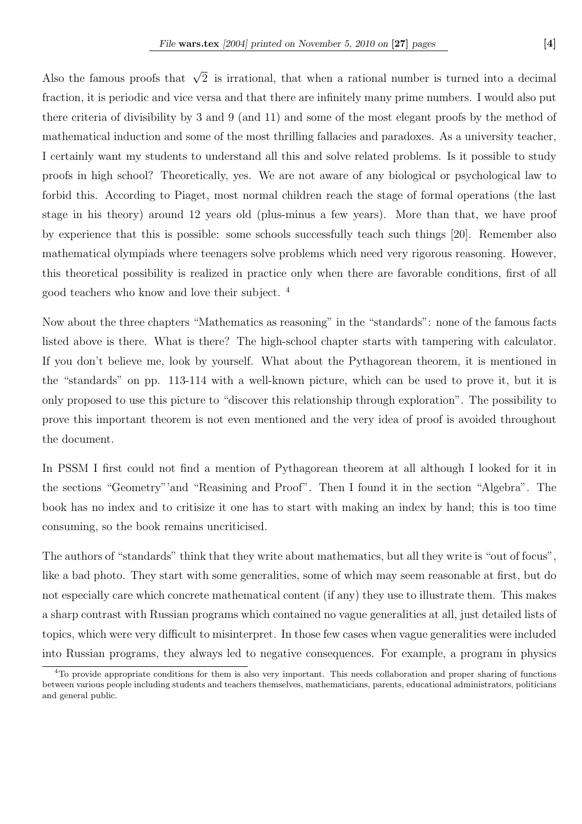Also the famous proofs that  $\sqrt{2}$  is irrational, that when a rational number is turned into a decimal fraction, it is periodic and vice versa and that there are infinitely many prime numbers. I would also put there criteria of divisibility by 3 and 9 (and 11) and some of the most elegant proofs by the method of mathematical induction and some of the most thrilling fallacies and paradoxes. As a university teacher, I certainly want my students to understand all this and solve related problems. Is it possible to study proofs in high school? Theoretically, yes. We are not aware of any biological or psychological law to forbid this. According to Piaget, most normal children reach the stage of formal operations (the last stage in his theory) around 12 years old (plus-minus a few years). More than that, we have proof by experience that this is possible: some schools successfully teach such things [20]. Remember also mathematical olympiads where teenagers solve problems which need very rigorous reasoning. However, this theoretical possibility is realized in practice only when there are favorable conditions, first of all good teachers who know and love their subject. <sup>4</sup>

Now about the three chapters "Mathematics as reasoning" in the "standards": none of the famous facts listed above is there. What is there? The high-school chapter starts with tampering with calculator. If you don't believe me, look by yourself. What about the Pythagorean theorem, it is mentioned in the "standards" on pp. 113-114 with a well-known picture, which can be used to prove it, but it is only proposed to use this picture to "discover this relationship through exploration". The possibility to prove this important theorem is not even mentioned and the very idea of proof is avoided throughout the document.

In PSSM I first could not find a mention of Pythagorean theorem at all although I looked for it in the sections "Geometry"'and "Reasining and Proof". Then I found it in the section "Algebra". The book has no index and to critisize it one has to start with making an index by hand; this is too time consuming, so the book remains uncriticised.

The authors of "standards" think that they write about mathematics, but all they write is "out of focus", like a bad photo. They start with some generalities, some of which may seem reasonable at first, but do not especially care which concrete mathematical content (if any) they use to illustrate them. This makes a sharp contrast with Russian programs which contained no vague generalities at all, just detailed lists of topics, which were very difficult to misinterpret. In those few cases when vague generalities were included into Russian programs, they always led to negative consequences. For example, a program in physics

<sup>&</sup>lt;sup>4</sup>To provide appropriate conditions for them is also very important. This needs collaboration and proper sharing of functions between various people including students and teachers themselves, mathematicians, parents, educational administrators, politicians and general public.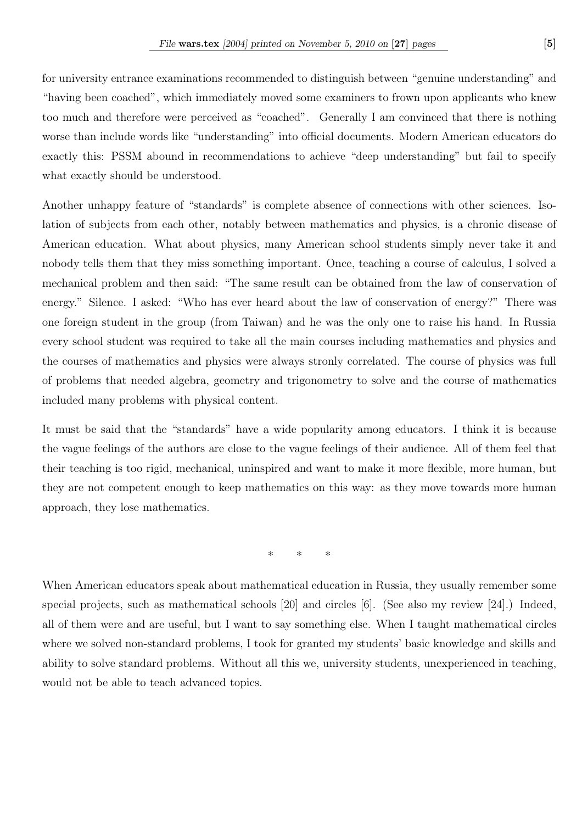for university entrance examinations recommended to distinguish between "genuine understanding" and "having been coached", which immediately moved some examiners to frown upon applicants who knew too much and therefore were perceived as "coached". Generally I am convinced that there is nothing worse than include words like "understanding" into official documents. Modern American educators do exactly this: PSSM abound in recommendations to achieve "deep understanding" but fail to specify what exactly should be understood.

Another unhappy feature of "standards" is complete absence of connections with other sciences. Isolation of subjects from each other, notably between mathematics and physics, is a chronic disease of American education. What about physics, many American school students simply never take it and nobody tells them that they miss something important. Once, teaching a course of calculus, I solved a mechanical problem and then said: "The same result can be obtained from the law of conservation of energy." Silence. I asked: "Who has ever heard about the law of conservation of energy?" There was one foreign student in the group (from Taiwan) and he was the only one to raise his hand. In Russia every school student was required to take all the main courses including mathematics and physics and the courses of mathematics and physics were always stronly correlated. The course of physics was full of problems that needed algebra, geometry and trigonometry to solve and the course of mathematics included many problems with physical content.

It must be said that the "standards" have a wide popularity among educators. I think it is because the vague feelings of the authors are close to the vague feelings of their audience. All of them feel that their teaching is too rigid, mechanical, uninspired and want to make it more flexible, more human, but they are not competent enough to keep mathematics on this way: as they move towards more human approach, they lose mathematics.

\* \* \*

When American educators speak about mathematical education in Russia, they usually remember some special projects, such as mathematical schools [20] and circles [6]. (See also my review [24].) Indeed, all of them were and are useful, but I want to say something else. When I taught mathematical circles where we solved non-standard problems, I took for granted my students' basic knowledge and skills and ability to solve standard problems. Without all this we, university students, unexperienced in teaching, would not be able to teach advanced topics.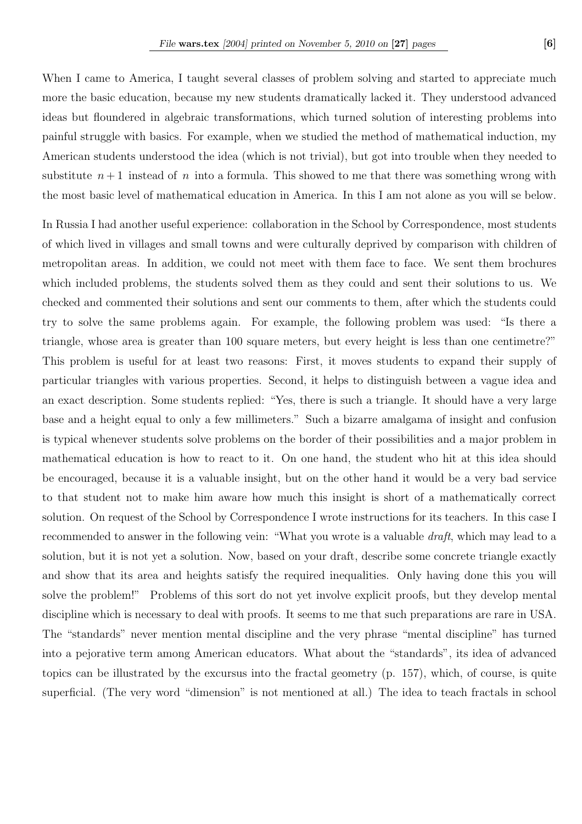When I came to America, I taught several classes of problem solving and started to appreciate much more the basic education, because my new students dramatically lacked it. They understood advanced ideas but floundered in algebraic transformations, which turned solution of interesting problems into painful struggle with basics. For example, when we studied the method of mathematical induction, my American students understood the idea (which is not trivial), but got into trouble when they needed to substitute  $n+1$  instead of n into a formula. This showed to me that there was something wrong with the most basic level of mathematical education in America. In this I am not alone as you will se below.

In Russia I had another useful experience: collaboration in the School by Correspondence, most students of which lived in villages and small towns and were culturally deprived by comparison with children of metropolitan areas. In addition, we could not meet with them face to face. We sent them brochures which included problems, the students solved them as they could and sent their solutions to us. We checked and commented their solutions and sent our comments to them, after which the students could try to solve the same problems again. For example, the following problem was used: "Is there a triangle, whose area is greater than 100 square meters, but every height is less than one centimetre?" This problem is useful for at least two reasons: First, it moves students to expand their supply of particular triangles with various properties. Second, it helps to distinguish between a vague idea and an exact description. Some students replied: "Yes, there is such a triangle. It should have a very large base and a height equal to only a few millimeters." Such a bizarre amalgama of insight and confusion is typical whenever students solve problems on the border of their possibilities and a major problem in mathematical education is how to react to it. On one hand, the student who hit at this idea should be encouraged, because it is a valuable insight, but on the other hand it would be a very bad service to that student not to make him aware how much this insight is short of a mathematically correct solution. On request of the School by Correspondence I wrote instructions for its teachers. In this case I recommended to answer in the following vein: "What you wrote is a valuable *draft*, which may lead to a solution, but it is not yet a solution. Now, based on your draft, describe some concrete triangle exactly and show that its area and heights satisfy the required inequalities. Only having done this you will solve the problem!" Problems of this sort do not yet involve explicit proofs, but they develop mental discipline which is necessary to deal with proofs. It seems to me that such preparations are rare in USA. The "standards" never mention mental discipline and the very phrase "mental discipline" has turned into a pejorative term among American educators. What about the "standards", its idea of advanced topics can be illustrated by the excursus into the fractal geometry (p. 157), which, of course, is quite superficial. (The very word "dimension" is not mentioned at all.) The idea to teach fractals in school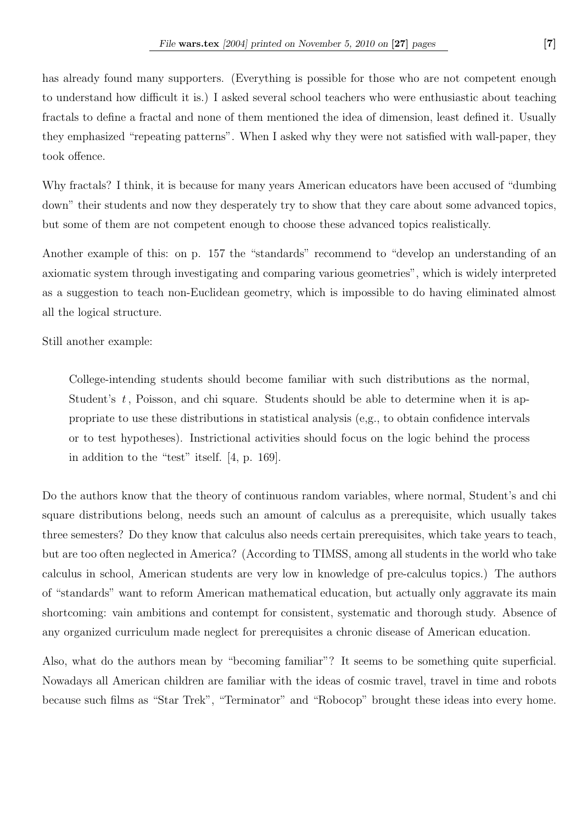has already found many supporters. (Everything is possible for those who are not competent enough to understand how difficult it is.) I asked several school teachers who were enthusiastic about teaching fractals to define a fractal and none of them mentioned the idea of dimension, least defined it. Usually they emphasized "repeating patterns". When I asked why they were not satisfied with wall-paper, they took offence.

Why fractals? I think, it is because for many years American educators have been accused of "dumbing down" their students and now they desperately try to show that they care about some advanced topics, but some of them are not competent enough to choose these advanced topics realistically.

Another example of this: on p. 157 the "standards" recommend to "develop an understanding of an axiomatic system through investigating and comparing various geometries", which is widely interpreted as a suggestion to teach non-Euclidean geometry, which is impossible to do having eliminated almost all the logical structure.

Still another example:

College-intending students should become familiar with such distributions as the normal, Student's  $t$ , Poisson, and chi square. Students should be able to determine when it is appropriate to use these distributions in statistical analysis (e,g., to obtain confidence intervals or to test hypotheses). Instrictional activities should focus on the logic behind the process in addition to the "test" itself. [4, p. 169].

Do the authors know that the theory of continuous random variables, where normal, Student's and chi square distributions belong, needs such an amount of calculus as a prerequisite, which usually takes three semesters? Do they know that calculus also needs certain prerequisites, which take years to teach, but are too often neglected in America? (According to TIMSS, among all students in the world who take calculus in school, American students are very low in knowledge of pre-calculus topics.) The authors of "standards" want to reform American mathematical education, but actually only aggravate its main shortcoming: vain ambitions and contempt for consistent, systematic and thorough study. Absence of any organized curriculum made neglect for prerequisites a chronic disease of American education.

Also, what do the authors mean by "becoming familiar"? It seems to be something quite superficial. Nowadays all American children are familiar with the ideas of cosmic travel, travel in time and robots because such films as "Star Trek", "Terminator" and "Robocop" brought these ideas into every home.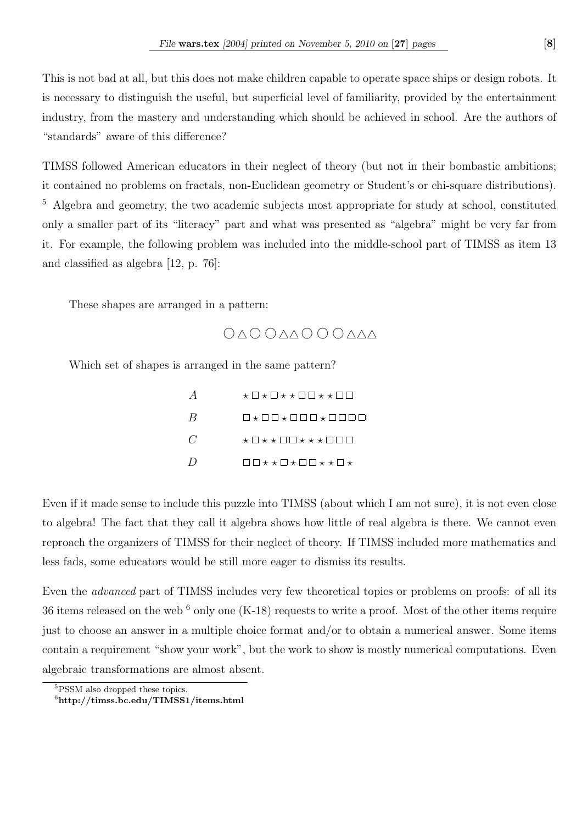This is not bad at all, but this does not make children capable to operate space ships or design robots. It is necessary to distinguish the useful, but superficial level of familiarity, provided by the entertainment industry, from the mastery and understanding which should be achieved in school. Are the authors of "standards" aware of this difference?

TIMSS followed American educators in their neglect of theory (but not in their bombastic ambitions; it contained no problems on fractals, non-Euclidean geometry or Student's or chi-square distributions). <sup>5</sup> Algebra and geometry, the two academic subjects most appropriate for study at school, constituted only a smaller part of its "literacy" part and what was presented as "algebra" might be very far from it. For example, the following problem was included into the middle-school part of TIMSS as item 13 and classified as algebra [12, p. 76]:

These shapes are arranged in a pattern:

 $\begin{array}{l} \bigcirc \triangle \bigcirc \bigcirc \triangle \triangle \bigcirc \bigcirc \bigcirc \triangle \triangle \triangle \end{array}$ 

Which set of shapes is arranged in the same pattern?

|                              | ★□★□★★□□★★□□  |
|------------------------------|---------------|
| B                            | □★□□★□□□★□□□□ |
| $\mathcal{C}$                | ★□★★□□★★★□□□  |
| $\left( \frac{1}{2} \right)$ | □□★★□★□□★★□★  |

Even if it made sense to include this puzzle into TIMSS (about which I am not sure), it is not even close to algebra! The fact that they call it algebra shows how little of real algebra is there. We cannot even reproach the organizers of TIMSS for their neglect of theory. If TIMSS included more mathematics and less fads, some educators would be still more eager to dismiss its results.

Even the advanced part of TIMSS includes very few theoretical topics or problems on proofs: of all its 36 items released on the web  $6$  only one  $(K-18)$  requests to write a proof. Most of the other items require just to choose an answer in a multiple choice format and/or to obtain a numerical answer. Some items contain a requirement "show your work", but the work to show is mostly numerical computations. Even algebraic transformations are almost absent.

<sup>5</sup>PSSM also dropped these topics.

<sup>6</sup>http://timss.bc.edu/TIMSS1/items.html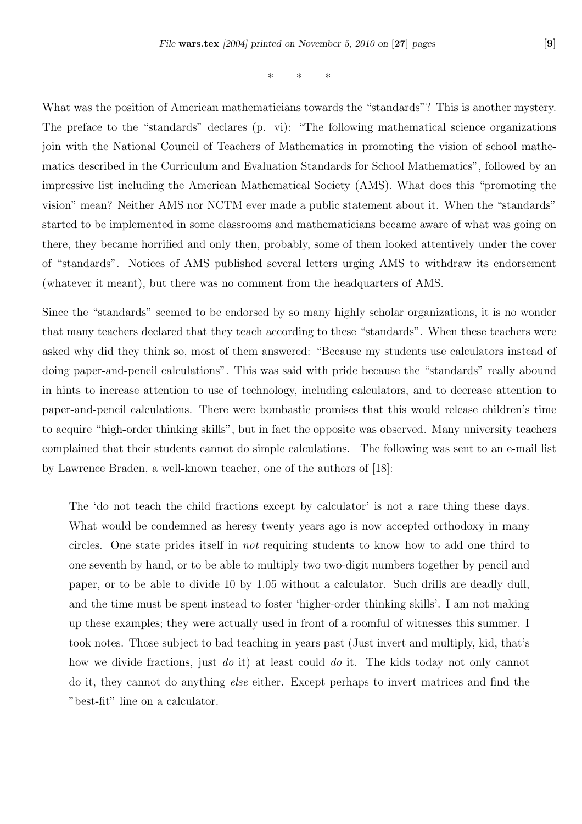\* \* \*

What was the position of American mathematicians towards the "standards"? This is another mystery. The preface to the "standards" declares (p. vi): "The following mathematical science organizations join with the National Council of Teachers of Mathematics in promoting the vision of school mathematics described in the Curriculum and Evaluation Standards for School Mathematics", followed by an impressive list including the American Mathematical Society (AMS). What does this "promoting the vision" mean? Neither AMS nor NCTM ever made a public statement about it. When the "standards" started to be implemented in some classrooms and mathematicians became aware of what was going on there, they became horrified and only then, probably, some of them looked attentively under the cover of "standards". Notices of AMS published several letters urging AMS to withdraw its endorsement (whatever it meant), but there was no comment from the headquarters of AMS.

Since the "standards" seemed to be endorsed by so many highly scholar organizations, it is no wonder that many teachers declared that they teach according to these "standards". When these teachers were asked why did they think so, most of them answered: "Because my students use calculators instead of doing paper-and-pencil calculations". This was said with pride because the "standards" really abound in hints to increase attention to use of technology, including calculators, and to decrease attention to paper-and-pencil calculations. There were bombastic promises that this would release children's time to acquire "high-order thinking skills", but in fact the opposite was observed. Many university teachers complained that their students cannot do simple calculations. The following was sent to an e-mail list by Lawrence Braden, a well-known teacher, one of the authors of [18]:

The 'do not teach the child fractions except by calculator' is not a rare thing these days. What would be condemned as heresy twenty years ago is now accepted orthodoxy in many circles. One state prides itself in not requiring students to know how to add one third to one seventh by hand, or to be able to multiply two two-digit numbers together by pencil and paper, or to be able to divide 10 by 1.05 without a calculator. Such drills are deadly dull, and the time must be spent instead to foster 'higher-order thinking skills'. I am not making up these examples; they were actually used in front of a roomful of witnesses this summer. I took notes. Those subject to bad teaching in years past (Just invert and multiply, kid, that's how we divide fractions, just do it) at least could do it. The kids today not only cannot do it, they cannot do anything else either. Except perhaps to invert matrices and find the "best-fit" line on a calculator.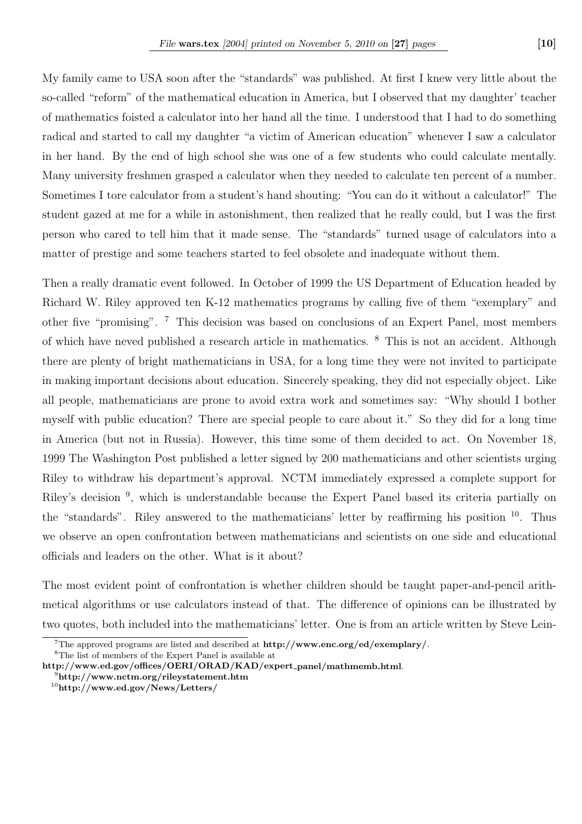My family came to USA soon after the "standards" was published. At first I knew very little about the so-called "reform" of the mathematical education in America, but I observed that my daughter' teacher of mathematics foisted a calculator into her hand all the time. I understood that I had to do something radical and started to call my daughter "a victim of American education" whenever I saw a calculator in her hand. By the end of high school she was one of a few students who could calculate mentally. Many university freshmen grasped a calculator when they needed to calculate ten percent of a number. Sometimes I tore calculator from a student's hand shouting: "You can do it without a calculator!" The student gazed at me for a while in astonishment, then realized that he really could, but I was the first person who cared to tell him that it made sense. The "standards" turned usage of calculators into a matter of prestige and some teachers started to feel obsolete and inadequate without them.

Then a really dramatic event followed. In October of 1999 the US Department of Education headed by Richard W. Riley approved ten K-12 mathematics programs by calling five of them "exemplary" and other five "promising". <sup>7</sup> This decision was based on conclusions of an Expert Panel, most members of which have neved published a research article in mathematics. <sup>8</sup> This is not an accident. Although there are plenty of bright mathematicians in USA, for a long time they were not invited to participate in making important decisions about education. Sincerely speaking, they did not especially object. Like all people, mathematicians are prone to avoid extra work and sometimes say: "Why should I bother myself with public education? There are special people to care about it." So they did for a long time in America (but not in Russia). However, this time some of them decided to act. On November 18, 1999 The Washington Post published a letter signed by 200 mathematicians and other scientists urging Riley to withdraw his department's approval. NCTM immediately expressed a complete support for Riley's decision <sup>9</sup>, which is understandable because the Expert Panel based its criteria partially on the "standards". Riley answered to the mathematicians' letter by reaffirming his position  $10$ . Thus we observe an open confrontation between mathematicians and scientists on one side and educational officials and leaders on the other. What is it about?

The most evident point of confrontation is whether children should be taught paper-and-pencil arithmetical algorithms or use calculators instead of that. The difference of opinions can be illustrated by two quotes, both included into the mathematicians' letter. One is from an article written by Steve Lein-

<sup>8</sup>The list of members of the Expert Panel is available at

<sup>&</sup>lt;sup>7</sup>The approved programs are listed and described at  $\frac{http://www.enc.org/ed/exemplary/">http://www.enc.org/ed/exemplary/$ .

http://www.ed.gov/offices/OERI/ORAD/KAD/expert panel/mathmemb.html.

<sup>9</sup>http://www.nctm.org/rileystatement.htm

 $10$ http://www.ed.gov/News/Letters/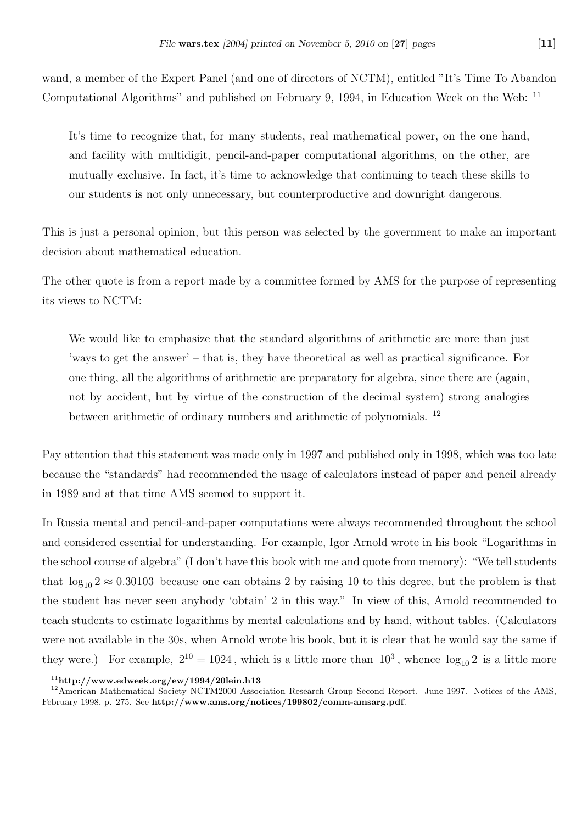wand, a member of the Expert Panel (and one of directors of NCTM), entitled "It's Time To Abandon Computational Algorithms" and published on February 9, 1994, in Education Week on the Web: <sup>11</sup>

It's time to recognize that, for many students, real mathematical power, on the one hand, and facility with multidigit, pencil-and-paper computational algorithms, on the other, are mutually exclusive. In fact, it's time to acknowledge that continuing to teach these skills to our students is not only unnecessary, but counterproductive and downright dangerous.

This is just a personal opinion, but this person was selected by the government to make an important decision about mathematical education.

The other quote is from a report made by a committee formed by AMS for the purpose of representing its views to NCTM:

We would like to emphasize that the standard algorithms of arithmetic are more than just 'ways to get the answer' – that is, they have theoretical as well as practical significance. For one thing, all the algorithms of arithmetic are preparatory for algebra, since there are (again, not by accident, but by virtue of the construction of the decimal system) strong analogies between arithmetic of ordinary numbers and arithmetic of polynomials. <sup>12</sup>

Pay attention that this statement was made only in 1997 and published only in 1998, which was too late because the "standards" had recommended the usage of calculators instead of paper and pencil already in 1989 and at that time AMS seemed to support it.

In Russia mental and pencil-and-paper computations were always recommended throughout the school and considered essential for understanding. For example, Igor Arnold wrote in his book "Logarithms in the school course of algebra" (I don't have this book with me and quote from memory): "We tell students that  $\log_{10} 2 \approx 0.30103$  because one can obtains 2 by raising 10 to this degree, but the problem is that the student has never seen anybody 'obtain' 2 in this way." In view of this, Arnold recommended to teach students to estimate logarithms by mental calculations and by hand, without tables. (Calculators were not available in the 30s, when Arnold wrote his book, but it is clear that he would say the same if they were.) For example,  $2^{10} = 1024$ , which is a little more than  $10^3$ , whence  $\log_{10} 2$  is a little more

 $\frac{11 \text{http://www.eduweek.org/ew/1994/20lein.h13}}{$ 

<sup>&</sup>lt;sup>12</sup>American Mathematical Society NCTM2000 Association Research Group Second Report. June 1997. Notices of the AMS, February 1998, p. 275. See http://www.ams.org/notices/199802/comm-amsarg.pdf.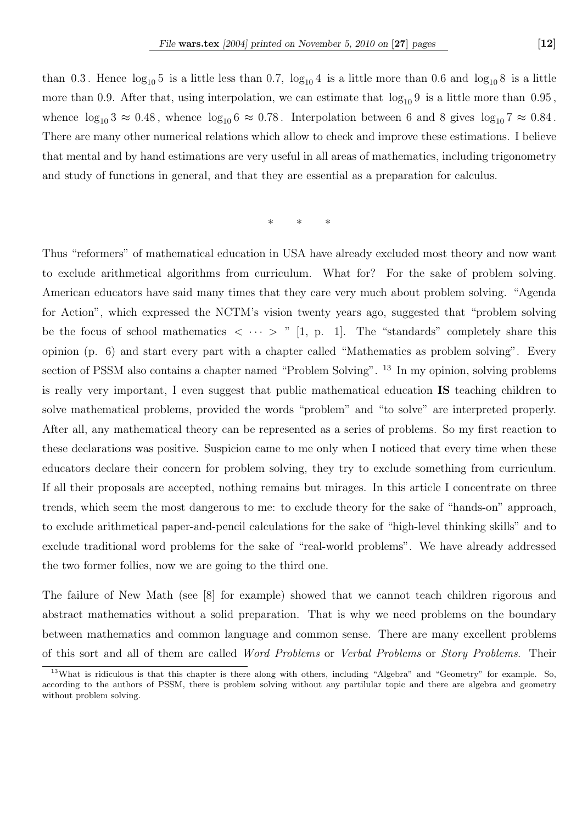than 0.3. Hence  $log_{10} 5$  is a little less than 0.7,  $log_{10} 4$  is a little more than 0.6 and  $log_{10} 8$  is a little more than 0.9. After that, using interpolation, we can estimate that  $log_{10} 9$  is a little more than 0.95, whence  $\log_{10} 3 \approx 0.48$ , whence  $\log_{10} 6 \approx 0.78$ . Interpolation between 6 and 8 gives  $\log_{10} 7 \approx 0.84$ . There are many other numerical relations which allow to check and improve these estimations. I believe that mental and by hand estimations are very useful in all areas of mathematics, including trigonometry and study of functions in general, and that they are essential as a preparation for calculus.

\* \* \*

Thus "reformers" of mathematical education in USA have already excluded most theory and now want to exclude arithmetical algorithms from curriculum. What for? For the sake of problem solving. American educators have said many times that they care very much about problem solving. "Agenda for Action", which expressed the NCTM's vision twenty years ago, suggested that "problem solving be the focus of school mathematics  $\langle \cdots \rangle$  " [1, p. 1]. The "standards" completely share this opinion (p. 6) and start every part with a chapter called "Mathematics as problem solving". Every section of PSSM also contains a chapter named "Problem Solving". <sup>13</sup> In my opinion, solving problems is really very important, I even suggest that public mathematical education IS teaching children to solve mathematical problems, provided the words "problem" and "to solve" are interpreted properly. After all, any mathematical theory can be represented as a series of problems. So my first reaction to these declarations was positive. Suspicion came to me only when I noticed that every time when these educators declare their concern for problem solving, they try to exclude something from curriculum. If all their proposals are accepted, nothing remains but mirages. In this article I concentrate on three trends, which seem the most dangerous to me: to exclude theory for the sake of "hands-on" approach, to exclude arithmetical paper-and-pencil calculations for the sake of "high-level thinking skills" and to exclude traditional word problems for the sake of "real-world problems". We have already addressed the two former follies, now we are going to the third one.

The failure of New Math (see [8] for example) showed that we cannot teach children rigorous and abstract mathematics without a solid preparation. That is why we need problems on the boundary between mathematics and common language and common sense. There are many excellent problems of this sort and all of them are called Word Problems or Verbal Problems or Story Problems. Their

<sup>13</sup>What is ridiculous is that this chapter is there along with others, including "Algebra" and "Geometry" for example. So, according to the authors of PSSM, there is problem solving without any partilular topic and there are algebra and geometry without problem solving.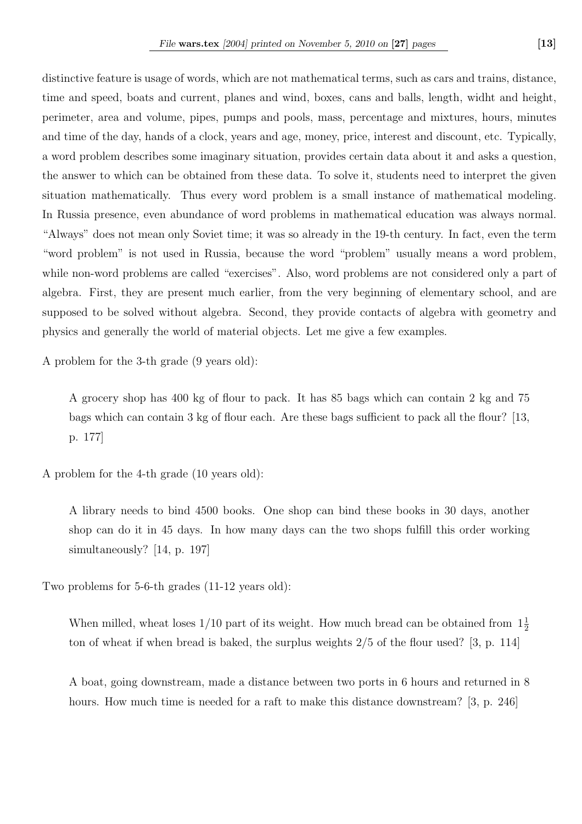distinctive feature is usage of words, which are not mathematical terms, such as cars and trains, distance, time and speed, boats and current, planes and wind, boxes, cans and balls, length, widht and height, perimeter, area and volume, pipes, pumps and pools, mass, percentage and mixtures, hours, minutes and time of the day, hands of a clock, years and age, money, price, interest and discount, etc. Typically, a word problem describes some imaginary situation, provides certain data about it and asks a question, the answer to which can be obtained from these data. To solve it, students need to interpret the given situation mathematically. Thus every word problem is a small instance of mathematical modeling. In Russia presence, even abundance of word problems in mathematical education was always normal. "Always" does not mean only Soviet time; it was so already in the 19-th century. In fact, even the term "word problem" is not used in Russia, because the word "problem" usually means a word problem, while non-word problems are called "exercises". Also, word problems are not considered only a part of algebra. First, they are present much earlier, from the very beginning of elementary school, and are supposed to be solved without algebra. Second, they provide contacts of algebra with geometry and physics and generally the world of material objects. Let me give a few examples.

A problem for the 3-th grade (9 years old):

A grocery shop has 400 kg of flour to pack. It has 85 bags which can contain 2 kg and 75 bags which can contain 3 kg of flour each. Are these bags sufficient to pack all the flour? [13, p. 177]

A problem for the 4-th grade (10 years old):

A library needs to bind 4500 books. One shop can bind these books in 30 days, another shop can do it in 45 days. In how many days can the two shops fulfill this order working simultaneously? [14, p. 197]

Two problems for 5-6-th grades (11-12 years old):

When milled, wheat loses  $1/10$  part of its weight. How much bread can be obtained from  $1\frac{1}{2}$ ton of wheat if when bread is baked, the surplus weights 2/5 of the flour used? [3, p. 114]

A boat, going downstream, made a distance between two ports in 6 hours and returned in 8 hours. How much time is needed for a raft to make this distance downstream? [3, p. 246]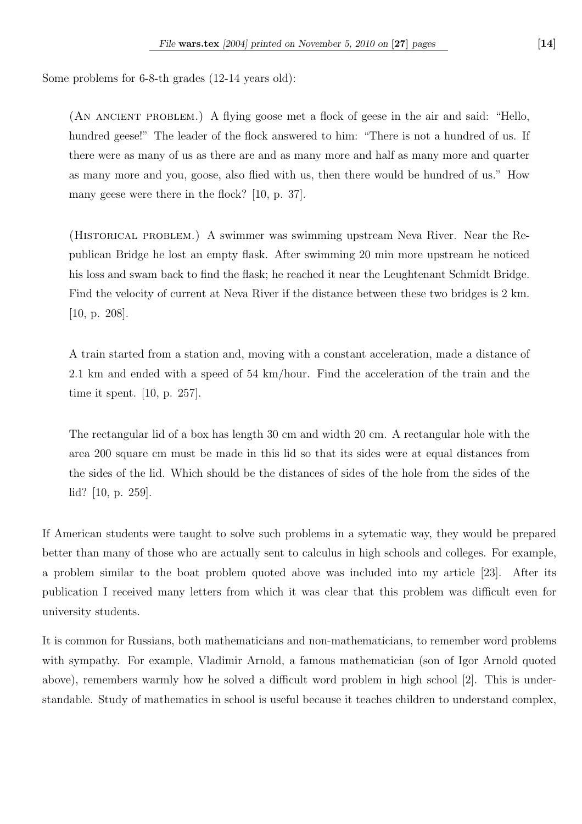Some problems for 6-8-th grades (12-14 years old):

(An ancient problem.) A flying goose met a flock of geese in the air and said: "Hello, hundred geese!" The leader of the flock answered to him: "There is not a hundred of us. If there were as many of us as there are and as many more and half as many more and quarter as many more and you, goose, also flied with us, then there would be hundred of us." How many geese were there in the flock? [10, p. 37].

(Historical problem.) A swimmer was swimming upstream Neva River. Near the Republican Bridge he lost an empty flask. After swimming 20 min more upstream he noticed his loss and swam back to find the flask; he reached it near the Leughtenant Schmidt Bridge. Find the velocity of current at Neva River if the distance between these two bridges is 2 km. [10, p. 208].

A train started from a station and, moving with a constant acceleration, made a distance of 2.1 km and ended with a speed of 54 km/hour. Find the acceleration of the train and the time it spent. [10, p. 257].

The rectangular lid of a box has length 30 cm and width 20 cm. A rectangular hole with the area 200 square cm must be made in this lid so that its sides were at equal distances from the sides of the lid. Which should be the distances of sides of the hole from the sides of the lid? [10, p. 259].

If American students were taught to solve such problems in a sytematic way, they would be prepared better than many of those who are actually sent to calculus in high schools and colleges. For example, a problem similar to the boat problem quoted above was included into my article [23]. After its publication I received many letters from which it was clear that this problem was difficult even for university students.

It is common for Russians, both mathematicians and non-mathematicians, to remember word problems with sympathy. For example, Vladimir Arnold, a famous mathematician (son of Igor Arnold quoted above), remembers warmly how he solved a difficult word problem in high school [2]. This is understandable. Study of mathematics in school is useful because it teaches children to understand complex,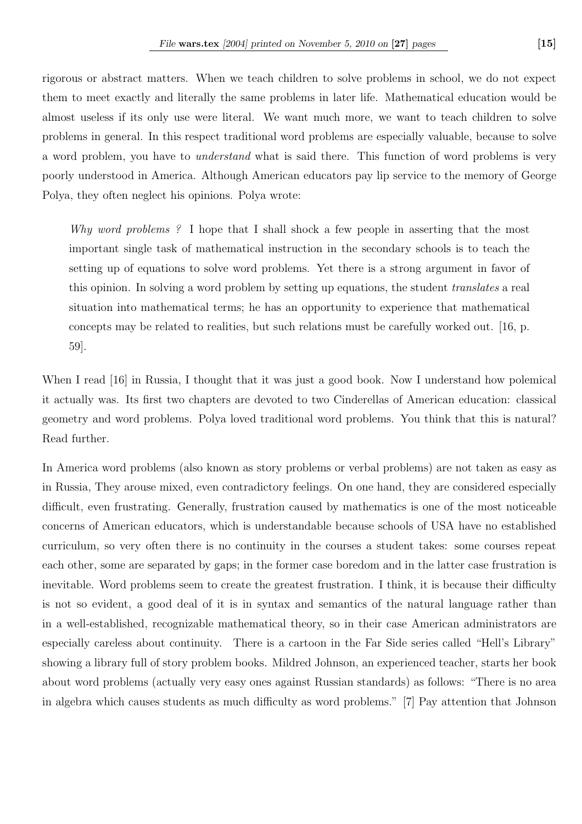rigorous or abstract matters. When we teach children to solve problems in school, we do not expect them to meet exactly and literally the same problems in later life. Mathematical education would be almost useless if its only use were literal. We want much more, we want to teach children to solve problems in general. In this respect traditional word problems are especially valuable, because to solve a word problem, you have to understand what is said there. This function of word problems is very poorly understood in America. Although American educators pay lip service to the memory of George Polya, they often neglect his opinions. Polya wrote:

Why word problems ? I hope that I shall shock a few people in asserting that the most important single task of mathematical instruction in the secondary schools is to teach the setting up of equations to solve word problems. Yet there is a strong argument in favor of this opinion. In solving a word problem by setting up equations, the student translates a real situation into mathematical terms; he has an opportunity to experience that mathematical concepts may be related to realities, but such relations must be carefully worked out. [16, p. 59].

When I read [16] in Russia, I thought that it was just a good book. Now I understand how polemical it actually was. Its first two chapters are devoted to two Cinderellas of American education: classical geometry and word problems. Polya loved traditional word problems. You think that this is natural? Read further.

In America word problems (also known as story problems or verbal problems) are not taken as easy as in Russia, They arouse mixed, even contradictory feelings. On one hand, they are considered especially difficult, even frustrating. Generally, frustration caused by mathematics is one of the most noticeable concerns of American educators, which is understandable because schools of USA have no established curriculum, so very often there is no continuity in the courses a student takes: some courses repeat each other, some are separated by gaps; in the former case boredom and in the latter case frustration is inevitable. Word problems seem to create the greatest frustration. I think, it is because their difficulty is not so evident, a good deal of it is in syntax and semantics of the natural language rather than in a well-established, recognizable mathematical theory, so in their case American administrators are especially careless about continuity. There is a cartoon in the Far Side series called "Hell's Library" showing a library full of story problem books. Mildred Johnson, an experienced teacher, starts her book about word problems (actually very easy ones against Russian standards) as follows: "There is no area in algebra which causes students as much difficulty as word problems." [7] Pay attention that Johnson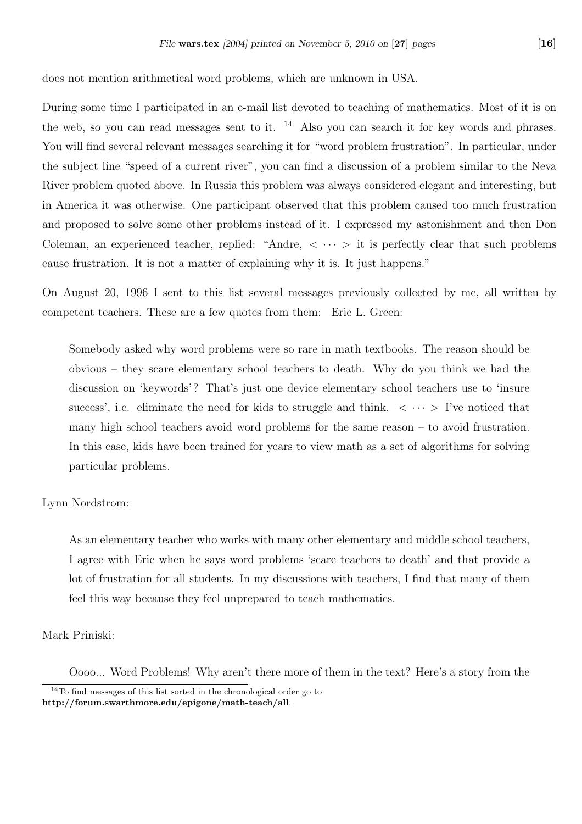does not mention arithmetical word problems, which are unknown in USA.

During some time I participated in an e-mail list devoted to teaching of mathematics. Most of it is on the web, so you can read messages sent to it.  $^{14}$  Also you can search it for key words and phrases. You will find several relevant messages searching it for "word problem frustration". In particular, under the subject line "speed of a current river", you can find a discussion of a problem similar to the Neva River problem quoted above. In Russia this problem was always considered elegant and interesting, but in America it was otherwise. One participant observed that this problem caused too much frustration and proposed to solve some other problems instead of it. I expressed my astonishment and then Don Coleman, an experienced teacher, replied: "Andre,  $\langle \cdots \rangle$  it is perfectly clear that such problems cause frustration. It is not a matter of explaining why it is. It just happens."

On August 20, 1996 I sent to this list several messages previously collected by me, all written by competent teachers. These are a few quotes from them: Eric L. Green:

Somebody asked why word problems were so rare in math textbooks. The reason should be obvious – they scare elementary school teachers to death. Why do you think we had the discussion on 'keywords'? That's just one device elementary school teachers use to 'insure success', i.e. eliminate the need for kids to struggle and think.  $\langle \cdots \rangle$  I've noticed that many high school teachers avoid word problems for the same reason – to avoid frustration. In this case, kids have been trained for years to view math as a set of algorithms for solving particular problems.

## Lynn Nordstrom:

As an elementary teacher who works with many other elementary and middle school teachers, I agree with Eric when he says word problems 'scare teachers to death' and that provide a lot of frustration for all students. In my discussions with teachers, I find that many of them feel this way because they feel unprepared to teach mathematics.

## Mark Priniski:

Oooo... Word Problems! Why aren't there more of them in the text? Here's a story from the

<sup>&</sup>lt;sup>14</sup>To find messages of this list sorted in the chronological order go to http://forum.swarthmore.edu/epigone/math-teach/all.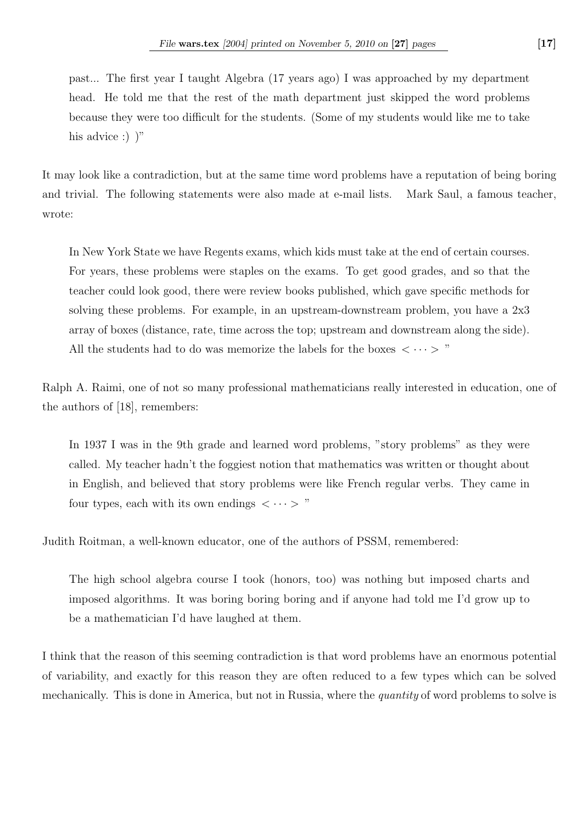past... The first year I taught Algebra (17 years ago) I was approached by my department head. He told me that the rest of the math department just skipped the word problems because they were too difficult for the students. (Some of my students would like me to take his advice :)  $)$ "

It may look like a contradiction, but at the same time word problems have a reputation of being boring and trivial. The following statements were also made at e-mail lists. Mark Saul, a famous teacher, wrote:

In New York State we have Regents exams, which kids must take at the end of certain courses. For years, these problems were staples on the exams. To get good grades, and so that the teacher could look good, there were review books published, which gave specific methods for solving these problems. For example, in an upstream-downstream problem, you have a 2x3 array of boxes (distance, rate, time across the top; upstream and downstream along the side). All the students had to do was memorize the labels for the boxes  $\langle \cdots \rangle$  "

Ralph A. Raimi, one of not so many professional mathematicians really interested in education, one of the authors of [18], remembers:

In 1937 I was in the 9th grade and learned word problems, "story problems" as they were called. My teacher hadn't the foggiest notion that mathematics was written or thought about in English, and believed that story problems were like French regular verbs. They came in four types, each with its own endings  $\langle \cdots \rangle$ "

Judith Roitman, a well-known educator, one of the authors of PSSM, remembered:

The high school algebra course I took (honors, too) was nothing but imposed charts and imposed algorithms. It was boring boring boring and if anyone had told me I'd grow up to be a mathematician I'd have laughed at them.

I think that the reason of this seeming contradiction is that word problems have an enormous potential of variability, and exactly for this reason they are often reduced to a few types which can be solved mechanically. This is done in America, but not in Russia, where the *quantity* of word problems to solve is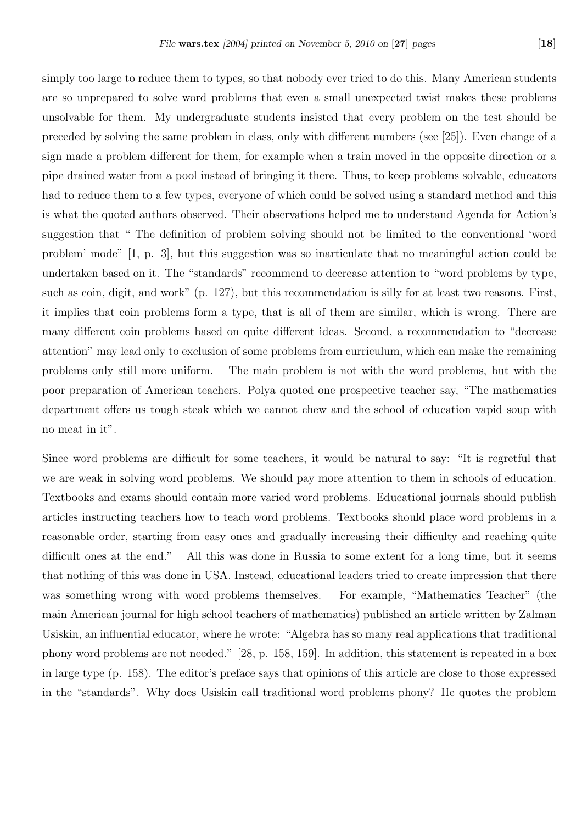simply too large to reduce them to types, so that nobody ever tried to do this. Many American students are so unprepared to solve word problems that even a small unexpected twist makes these problems unsolvable for them. My undergraduate students insisted that every problem on the test should be preceded by solving the same problem in class, only with different numbers (see [25]). Even change of a sign made a problem different for them, for example when a train moved in the opposite direction or a pipe drained water from a pool instead of bringing it there. Thus, to keep problems solvable, educators had to reduce them to a few types, everyone of which could be solved using a standard method and this is what the quoted authors observed. Their observations helped me to understand Agenda for Action's suggestion that " The definition of problem solving should not be limited to the conventional 'word problem' mode" [1, p. 3], but this suggestion was so inarticulate that no meaningful action could be undertaken based on it. The "standards" recommend to decrease attention to "word problems by type, such as coin, digit, and work" (p. 127), but this recommendation is silly for at least two reasons. First, it implies that coin problems form a type, that is all of them are similar, which is wrong. There are many different coin problems based on quite different ideas. Second, a recommendation to "decrease attention" may lead only to exclusion of some problems from curriculum, which can make the remaining problems only still more uniform. The main problem is not with the word problems, but with the poor preparation of American teachers. Polya quoted one prospective teacher say, "The mathematics department offers us tough steak which we cannot chew and the school of education vapid soup with no meat in it".

Since word problems are difficult for some teachers, it would be natural to say: "It is regretful that we are weak in solving word problems. We should pay more attention to them in schools of education. Textbooks and exams should contain more varied word problems. Educational journals should publish articles instructing teachers how to teach word problems. Textbooks should place word problems in a reasonable order, starting from easy ones and gradually increasing their difficulty and reaching quite difficult ones at the end." All this was done in Russia to some extent for a long time, but it seems that nothing of this was done in USA. Instead, educational leaders tried to create impression that there was something wrong with word problems themselves. For example, "Mathematics Teacher" (the main American journal for high school teachers of mathematics) published an article written by Zalman Usiskin, an influential educator, where he wrote: "Algebra has so many real applications that traditional phony word problems are not needed." [28, p. 158, 159]. In addition, this statement is repeated in a box in large type (p. 158). The editor's preface says that opinions of this article are close to those expressed in the "standards". Why does Usiskin call traditional word problems phony? He quotes the problem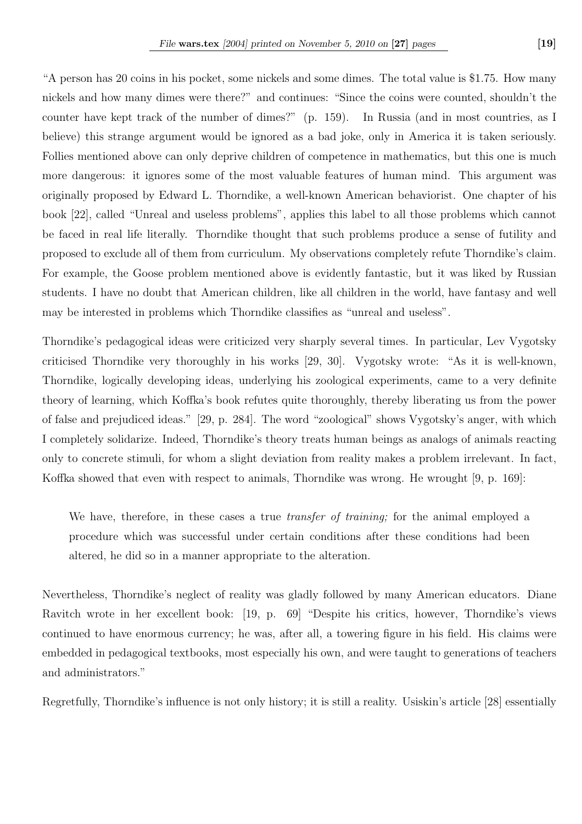"A person has 20 coins in his pocket, some nickels and some dimes. The total value is \$1.75. How many nickels and how many dimes were there?" and continues: "Since the coins were counted, shouldn't the counter have kept track of the number of dimes?" (p. 159). In Russia (and in most countries, as I believe) this strange argument would be ignored as a bad joke, only in America it is taken seriously. Follies mentioned above can only deprive children of competence in mathematics, but this one is much more dangerous: it ignores some of the most valuable features of human mind. This argument was originally proposed by Edward L. Thorndike, a well-known American behaviorist. One chapter of his book [22], called "Unreal and useless problems", applies this label to all those problems which cannot be faced in real life literally. Thorndike thought that such problems produce a sense of futility and proposed to exclude all of them from curriculum. My observations completely refute Thorndike's claim. For example, the Goose problem mentioned above is evidently fantastic, but it was liked by Russian students. I have no doubt that American children, like all children in the world, have fantasy and well

Thorndike's pedagogical ideas were criticized very sharply several times. In particular, Lev Vygotsky criticised Thorndike very thoroughly in his works [29, 30]. Vygotsky wrote: "As it is well-known, Thorndike, logically developing ideas, underlying his zoological experiments, came to a very definite theory of learning, which Koffka's book refutes quite thoroughly, thereby liberating us from the power of false and prejudiced ideas." [29, p. 284]. The word "zoological" shows Vygotsky's anger, with which I completely solidarize. Indeed, Thorndike's theory treats human beings as analogs of animals reacting only to concrete stimuli, for whom a slight deviation from reality makes a problem irrelevant. In fact, Koffka showed that even with respect to animals, Thorndike was wrong. He wrought [9, p. 169]:

may be interested in problems which Thorndike classifies as "unreal and useless".

We have, therefore, in these cases a true *transfer of training*; for the animal employed a procedure which was successful under certain conditions after these conditions had been altered, he did so in a manner appropriate to the alteration.

Nevertheless, Thorndike's neglect of reality was gladly followed by many American educators. Diane Ravitch wrote in her excellent book: [19, p. 69] "Despite his critics, however, Thorndike's views continued to have enormous currency; he was, after all, a towering figure in his field. His claims were embedded in pedagogical textbooks, most especially his own, and were taught to generations of teachers and administrators."

Regretfully, Thorndike's influence is not only history; it is still a reality. Usiskin's article [28] essentially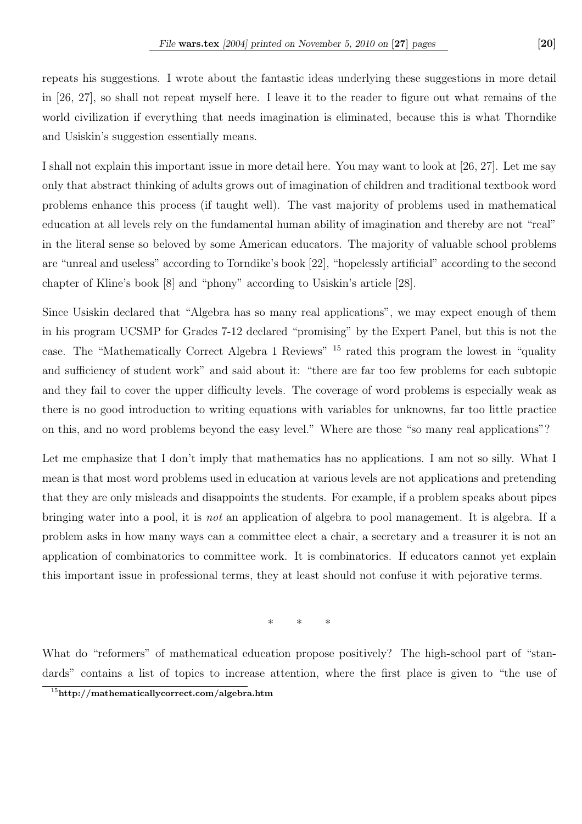repeats his suggestions. I wrote about the fantastic ideas underlying these suggestions in more detail in [26, 27], so shall not repeat myself here. I leave it to the reader to figure out what remains of the world civilization if everything that needs imagination is eliminated, because this is what Thorndike and Usiskin's suggestion essentially means.

I shall not explain this important issue in more detail here. You may want to look at [26, 27]. Let me say only that abstract thinking of adults grows out of imagination of children and traditional textbook word problems enhance this process (if taught well). The vast majority of problems used in mathematical education at all levels rely on the fundamental human ability of imagination and thereby are not "real" in the literal sense so beloved by some American educators. The majority of valuable school problems are "unreal and useless" according to Torndike's book [22], "hopelessly artificial" according to the second chapter of Kline's book [8] and "phony" according to Usiskin's article [28].

Since Usiskin declared that "Algebra has so many real applications", we may expect enough of them in his program UCSMP for Grades 7-12 declared "promising" by the Expert Panel, but this is not the case. The "Mathematically Correct Algebra 1 Reviews" <sup>15</sup> rated this program the lowest in "quality and sufficiency of student work" and said about it: "there are far too few problems for each subtopic and they fail to cover the upper difficulty levels. The coverage of word problems is especially weak as there is no good introduction to writing equations with variables for unknowns, far too little practice on this, and no word problems beyond the easy level." Where are those "so many real applications"?

Let me emphasize that I don't imply that mathematics has no applications. I am not so silly. What I mean is that most word problems used in education at various levels are not applications and pretending that they are only misleads and disappoints the students. For example, if a problem speaks about pipes bringing water into a pool, it is not an application of algebra to pool management. It is algebra. If a problem asks in how many ways can a committee elect a chair, a secretary and a treasurer it is not an application of combinatorics to committee work. It is combinatorics. If educators cannot yet explain this important issue in professional terms, they at least should not confuse it with pejorative terms.

\* \* \*

What do "reformers" of mathematical education propose positively? The high-school part of "standards" contains a list of topics to increase attention, where the first place is given to "the use of

<sup>15</sup>http://mathematicallycorrect.com/algebra.htm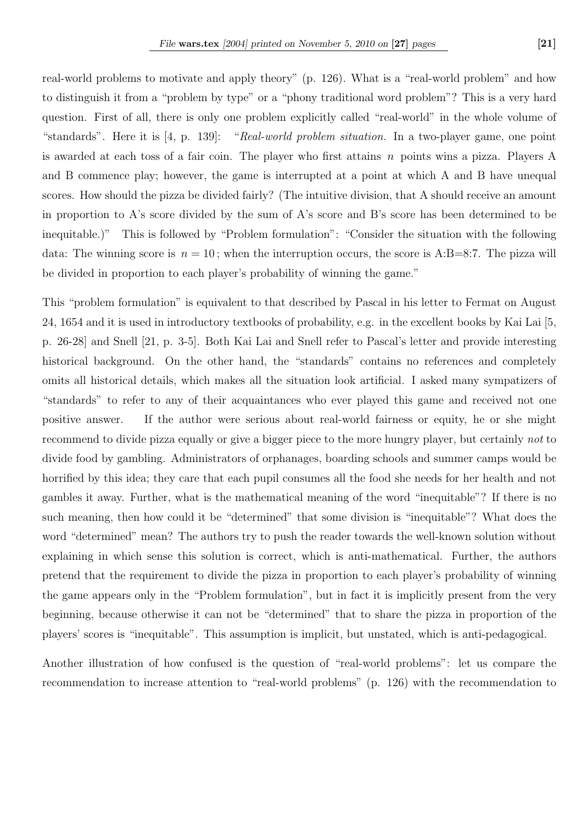real-world problems to motivate and apply theory" (p. 126). What is a "real-world problem" and how to distinguish it from a "problem by type" or a "phony traditional word problem"? This is a very hard question. First of all, there is only one problem explicitly called "real-world" in the whole volume of "standards". Here it is [4, p. 139]: "Real-world problem situation. In a two-player game, one point is awarded at each toss of a fair coin. The player who first attains  $n$  points wins a pizza. Players A and B commence play; however, the game is interrupted at a point at which A and B have unequal scores. How should the pizza be divided fairly? (The intuitive division, that A should receive an amount in proportion to A's score divided by the sum of A's score and B's score has been determined to be inequitable.)" This is followed by "Problem formulation": "Consider the situation with the following data: The winning score is  $n = 10$ ; when the interruption occurs, the score is A:B=8:7. The pizza will be divided in proportion to each player's probability of winning the game."

This "problem formulation" is equivalent to that described by Pascal in his letter to Fermat on August 24, 1654 and it is used in introductory textbooks of probability, e.g. in the excellent books by Kai Lai [5, p. 26-28] and Snell [21, p. 3-5]. Both Kai Lai and Snell refer to Pascal's letter and provide interesting historical background. On the other hand, the "standards" contains no references and completely omits all historical details, which makes all the situation look artificial. I asked many sympatizers of "standards" to refer to any of their acquaintances who ever played this game and received not one positive answer. If the author were serious about real-world fairness or equity, he or she might recommend to divide pizza equally or give a bigger piece to the more hungry player, but certainly not to divide food by gambling. Administrators of orphanages, boarding schools and summer camps would be horrified by this idea; they care that each pupil consumes all the food she needs for her health and not gambles it away. Further, what is the mathematical meaning of the word "inequitable"? If there is no such meaning, then how could it be "determined" that some division is "inequitable"? What does the word "determined" mean? The authors try to push the reader towards the well-known solution without explaining in which sense this solution is correct, which is anti-mathematical. Further, the authors pretend that the requirement to divide the pizza in proportion to each player's probability of winning the game appears only in the "Problem formulation", but in fact it is implicitly present from the very beginning, because otherwise it can not be "determined" that to share the pizza in proportion of the players' scores is "inequitable". This assumption is implicit, but unstated, which is anti-pedagogical.

Another illustration of how confused is the question of "real-world problems": let us compare the recommendation to increase attention to "real-world problems" (p. 126) with the recommendation to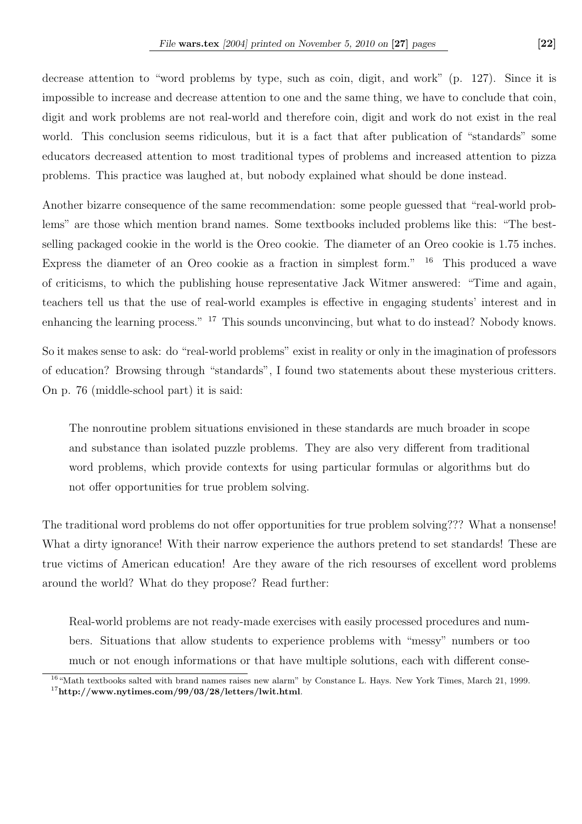decrease attention to "word problems by type, such as coin, digit, and work" (p. 127). Since it is impossible to increase and decrease attention to one and the same thing, we have to conclude that coin, digit and work problems are not real-world and therefore coin, digit and work do not exist in the real world. This conclusion seems ridiculous, but it is a fact that after publication of "standards" some educators decreased attention to most traditional types of problems and increased attention to pizza problems. This practice was laughed at, but nobody explained what should be done instead.

Another bizarre consequence of the same recommendation: some people guessed that "real-world problems" are those which mention brand names. Some textbooks included problems like this: "The bestselling packaged cookie in the world is the Oreo cookie. The diameter of an Oreo cookie is 1.75 inches. Express the diameter of an Oreo cookie as a fraction in simplest form."  $16$  This produced a wave of criticisms, to which the publishing house representative Jack Witmer answered: "Time and again, teachers tell us that the use of real-world examples is effective in engaging students' interest and in enhancing the learning process." <sup>17</sup> This sounds unconvincing, but what to do instead? Nobody knows.

So it makes sense to ask: do "real-world problems" exist in reality or only in the imagination of professors of education? Browsing through "standards", I found two statements about these mysterious critters. On p. 76 (middle-school part) it is said:

The nonroutine problem situations envisioned in these standards are much broader in scope and substance than isolated puzzle problems. They are also very different from traditional word problems, which provide contexts for using particular formulas or algorithms but do not offer opportunities for true problem solving.

The traditional word problems do not offer opportunities for true problem solving??? What a nonsense! What a dirty ignorance! With their narrow experience the authors pretend to set standards! These are true victims of American education! Are they aware of the rich resourses of excellent word problems around the world? What do they propose? Read further:

Real-world problems are not ready-made exercises with easily processed procedures and numbers. Situations that allow students to experience problems with "messy" numbers or too much or not enough informations or that have multiple solutions, each with different conse-

<sup>&</sup>lt;sup>16</sup> "Math textbooks salted with brand names raises new alarm" by Constance L. Hays. New York Times, March 21, 1999.  $17$ http://www.nytimes.com/99/03/28/letters/lwit.html.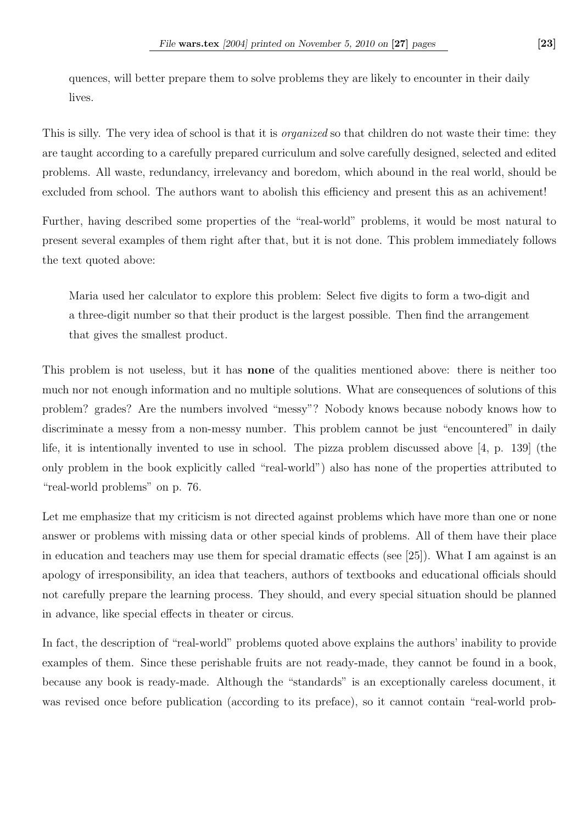quences, will better prepare them to solve problems they are likely to encounter in their daily lives.

This is silly. The very idea of school is that it is *organized* so that children do not waste their time: they are taught according to a carefully prepared curriculum and solve carefully designed, selected and edited problems. All waste, redundancy, irrelevancy and boredom, which abound in the real world, should be excluded from school. The authors want to abolish this efficiency and present this as an achivement!

Further, having described some properties of the "real-world" problems, it would be most natural to present several examples of them right after that, but it is not done. This problem immediately follows the text quoted above:

Maria used her calculator to explore this problem: Select five digits to form a two-digit and a three-digit number so that their product is the largest possible. Then find the arrangement that gives the smallest product.

This problem is not useless, but it has none of the qualities mentioned above: there is neither too much nor not enough information and no multiple solutions. What are consequences of solutions of this problem? grades? Are the numbers involved "messy"? Nobody knows because nobody knows how to discriminate a messy from a non-messy number. This problem cannot be just "encountered" in daily life, it is intentionally invented to use in school. The pizza problem discussed above [4, p. 139] (the only problem in the book explicitly called "real-world") also has none of the properties attributed to "real-world problems" on p. 76.

Let me emphasize that my criticism is not directed against problems which have more than one or none answer or problems with missing data or other special kinds of problems. All of them have their place in education and teachers may use them for special dramatic effects (see [25]). What I am against is an apology of irresponsibility, an idea that teachers, authors of textbooks and educational officials should not carefully prepare the learning process. They should, and every special situation should be planned in advance, like special effects in theater or circus.

In fact, the description of "real-world" problems quoted above explains the authors' inability to provide examples of them. Since these perishable fruits are not ready-made, they cannot be found in a book, because any book is ready-made. Although the "standards" is an exceptionally careless document, it was revised once before publication (according to its preface), so it cannot contain "real-world prob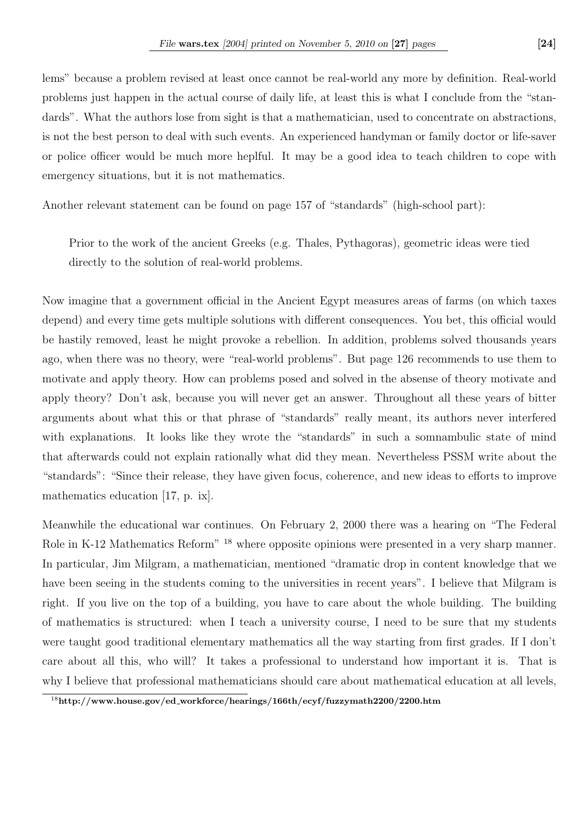lems" because a problem revised at least once cannot be real-world any more by definition. Real-world problems just happen in the actual course of daily life, at least this is what I conclude from the "standards". What the authors lose from sight is that a mathematician, used to concentrate on abstractions, is not the best person to deal with such events. An experienced handyman or family doctor or life-saver or police officer would be much more heplful. It may be a good idea to teach children to cope with emergency situations, but it is not mathematics.

Another relevant statement can be found on page 157 of "standards" (high-school part):

Prior to the work of the ancient Greeks (e.g. Thales, Pythagoras), geometric ideas were tied directly to the solution of real-world problems.

Now imagine that a government official in the Ancient Egypt measures areas of farms (on which taxes depend) and every time gets multiple solutions with different consequences. You bet, this official would be hastily removed, least he might provoke a rebellion. In addition, problems solved thousands years ago, when there was no theory, were "real-world problems". But page 126 recommends to use them to motivate and apply theory. How can problems posed and solved in the absense of theory motivate and apply theory? Don't ask, because you will never get an answer. Throughout all these years of bitter arguments about what this or that phrase of "standards" really meant, its authors never interfered with explanations. It looks like they wrote the "standards" in such a somnambulic state of mind that afterwards could not explain rationally what did they mean. Nevertheless PSSM write about the "standards": "Since their release, they have given focus, coherence, and new ideas to efforts to improve mathematics education [17, p. ix].

Meanwhile the educational war continues. On February 2, 2000 there was a hearing on "The Federal Role in K-12 Mathematics Reform<sup>" 18</sup> where opposite opinions were presented in a very sharp manner. In particular, Jim Milgram, a mathematician, mentioned "dramatic drop in content knowledge that we have been seeing in the students coming to the universities in recent years". I believe that Milgram is right. If you live on the top of a building, you have to care about the whole building. The building of mathematics is structured: when I teach a university course, I need to be sure that my students were taught good traditional elementary mathematics all the way starting from first grades. If I don't care about all this, who will? It takes a professional to understand how important it is. That is why I believe that professional mathematicians should care about mathematical education at all levels,

<sup>18</sup>http://www.house.gov/ed workforce/hearings/166th/ecyf/fuzzymath2200/2200.htm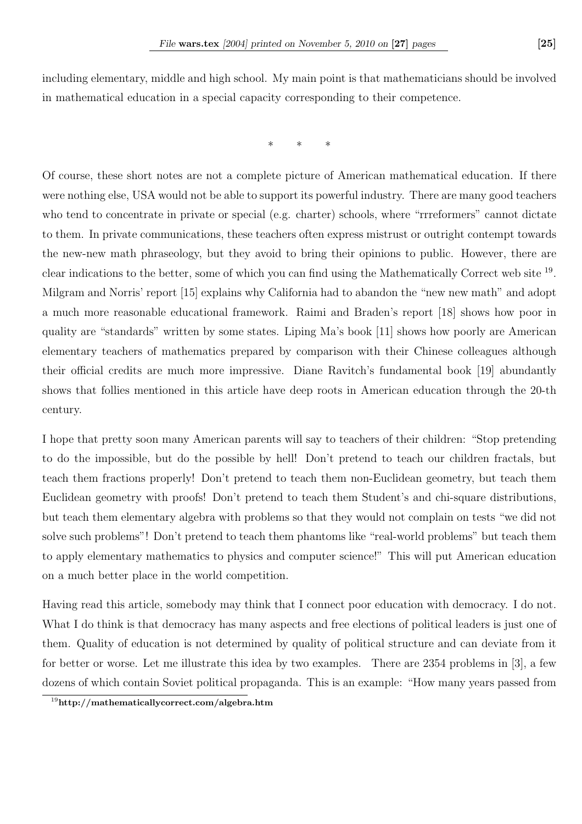\* \* \*

Of course, these short notes are not a complete picture of American mathematical education. If there were nothing else, USA would not be able to support its powerful industry. There are many good teachers who tend to concentrate in private or special (e.g. charter) schools, where "rrreformers" cannot dictate to them. In private communications, these teachers often express mistrust or outright contempt towards the new-new math phraseology, but they avoid to bring their opinions to public. However, there are clear indications to the better, some of which you can find using the Mathematically Correct web site <sup>19</sup>. Milgram and Norris' report [15] explains why California had to abandon the "new new math" and adopt a much more reasonable educational framework. Raimi and Braden's report [18] shows how poor in quality are "standards" written by some states. Liping Ma's book [11] shows how poorly are American elementary teachers of mathematics prepared by comparison with their Chinese colleagues although their official credits are much more impressive. Diane Ravitch's fundamental book [19] abundantly shows that follies mentioned in this article have deep roots in American education through the 20-th century.

I hope that pretty soon many American parents will say to teachers of their children: "Stop pretending to do the impossible, but do the possible by hell! Don't pretend to teach our children fractals, but teach them fractions properly! Don't pretend to teach them non-Euclidean geometry, but teach them Euclidean geometry with proofs! Don't pretend to teach them Student's and chi-square distributions, but teach them elementary algebra with problems so that they would not complain on tests "we did not solve such problems"! Don't pretend to teach them phantoms like "real-world problems" but teach them to apply elementary mathematics to physics and computer science!" This will put American education on a much better place in the world competition.

Having read this article, somebody may think that I connect poor education with democracy. I do not. What I do think is that democracy has many aspects and free elections of political leaders is just one of them. Quality of education is not determined by quality of political structure and can deviate from it for better or worse. Let me illustrate this idea by two examples. There are 2354 problems in [3], a few dozens of which contain Soviet political propaganda. This is an example: "How many years passed from

<sup>19</sup>http://mathematicallycorrect.com/algebra.htm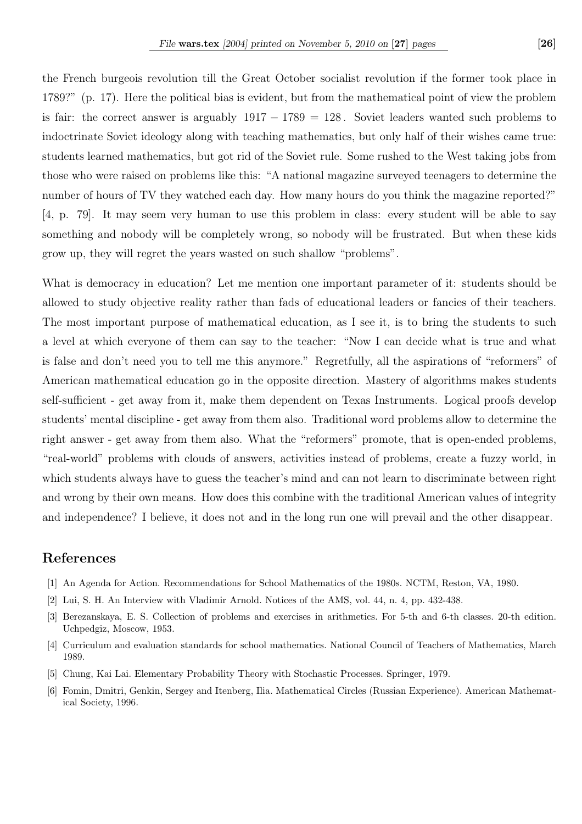the French burgeois revolution till the Great October socialist revolution if the former took place in 1789?" (p. 17). Here the political bias is evident, but from the mathematical point of view the problem is fair: the correct answer is arguably  $1917 - 1789 = 128$ . Soviet leaders wanted such problems to indoctrinate Soviet ideology along with teaching mathematics, but only half of their wishes came true: students learned mathematics, but got rid of the Soviet rule. Some rushed to the West taking jobs from those who were raised on problems like this: "A national magazine surveyed teenagers to determine the number of hours of TV they watched each day. How many hours do you think the magazine reported?" [4, p. 79]. It may seem very human to use this problem in class: every student will be able to say something and nobody will be completely wrong, so nobody will be frustrated. But when these kids grow up, they will regret the years wasted on such shallow "problems".

What is democracy in education? Let me mention one important parameter of it: students should be allowed to study objective reality rather than fads of educational leaders or fancies of their teachers. The most important purpose of mathematical education, as I see it, is to bring the students to such a level at which everyone of them can say to the teacher: "Now I can decide what is true and what is false and don't need you to tell me this anymore." Regretfully, all the aspirations of "reformers" of American mathematical education go in the opposite direction. Mastery of algorithms makes students self-sufficient - get away from it, make them dependent on Texas Instruments. Logical proofs develop students' mental discipline - get away from them also. Traditional word problems allow to determine the right answer - get away from them also. What the "reformers" promote, that is open-ended problems, "real-world" problems with clouds of answers, activities instead of problems, create a fuzzy world, in which students always have to guess the teacher's mind and can not learn to discriminate between right and wrong by their own means. How does this combine with the traditional American values of integrity and independence? I believe, it does not and in the long run one will prevail and the other disappear.

## References

- [1] An Agenda for Action. Recommendations for School Mathematics of the 1980s. NCTM, Reston, VA, 1980.
- [2] Lui, S. H. An Interview with Vladimir Arnold. Notices of the AMS, vol. 44, n. 4, pp. 432-438.
- [3] Berezanskaya, E. S. Collection of problems and exercises in arithmetics. For 5-th and 6-th classes. 20-th edition. Uchpedgiz, Moscow, 1953.
- [4] Curriculum and evaluation standards for school mathematics. National Council of Teachers of Mathematics, March 1989.
- [5] Chung, Kai Lai. Elementary Probability Theory with Stochastic Processes. Springer, 1979.
- [6] Fomin, Dmitri, Genkin, Sergey and Itenberg, Ilia. Mathematical Circles (Russian Experience). American Mathematical Society, 1996.